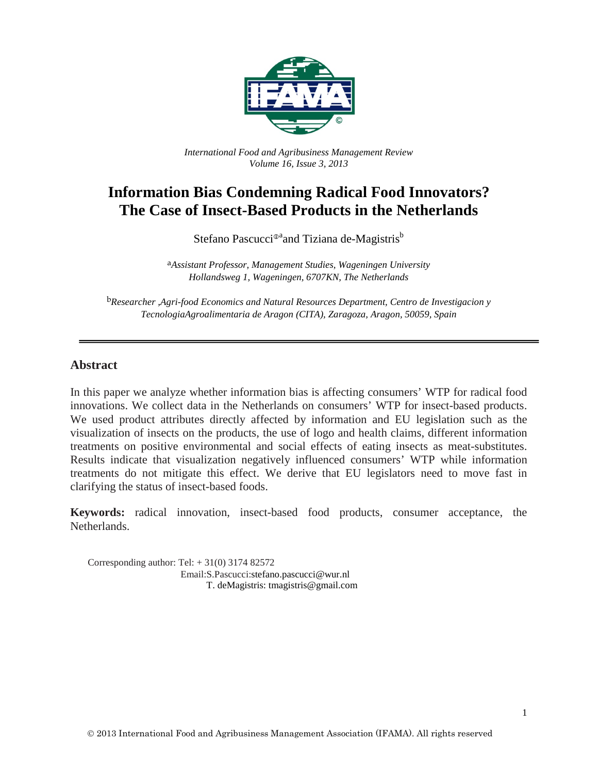

*International Food and Agribusiness Management Review Volume 16, Issue 3, 2013*

# **Information Bias Condemning Radical Food Innovators? The Case of Insect-Based Products in the Netherlands**

Stefano Pascucci<sup>®a</sup>and Tiziana de-Magistris<sup>b</sup>

a*Assistant Professor, Management Studies, Wageningen University Hollandsweg 1, Wageningen, 6707KN, The Netherlands*

b*Researcher ,Agri-food Economics and Natural Resources Department, Centro de Investigacion y TecnologiaAgroalimentaria de Aragon (CITA), Zaragoza, Aragon, 50059, Spain*

#### **Abstract**

In this paper we analyze whether information bias is affecting consumers' WTP for radical food innovations. We collect data in the Netherlands on consumers' WTP for insect-based products. We used product attributes directly affected by information and EU legislation such as the visualization of insects on the products, the use of logo and health claims, different information treatments on positive environmental and social effects of eating insects as meat-substitutes. Results indicate that visualization negatively influenced consumers' WTP while information treatments do not mitigate this effect. We derive that EU legislators need to move fast in clarifying the status of insect-based foods.

**Keywords:** radical innovation, insect-based food products, consumer acceptance, the Netherlands.

Corresponding author: Tel:  $+31(0)$  3174 82572 Email:S.Pascucci:stefano.pascucci@wur.nl T. deMagistris: tmagistris@gmail.com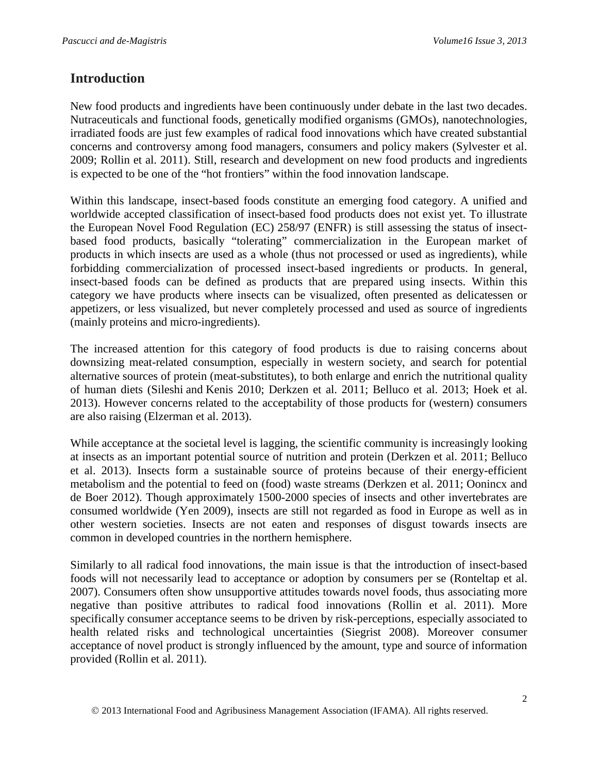### **Introduction**

New food products and ingredients have been continuously under debate in the last two decades. Nutraceuticals and functional foods, genetically modified organisms (GMOs), nanotechnologies, irradiated foods are just few examples of radical food innovations which have created substantial concerns and controversy among food managers, consumers and policy makers (Sylvester et al. 2009; Rollin et al. 2011). Still, research and development on new food products and ingredients is expected to be one of the "hot frontiers" within the food innovation landscape.

Within this landscape, insect-based foods constitute an emerging food category. A unified and worldwide accepted classification of insect-based food products does not exist yet. To illustrate the European Novel Food Regulation (EC) 258/97 (ENFR) is still assessing the status of insectbased food products, basically "tolerating" commercialization in the European market of products in which insects are used as a whole (thus not processed or used as ingredients), while forbidding commercialization of processed insect-based ingredients or products. In general, insect-based foods can be defined as products that are prepared using insects. Within this category we have products where insects can be visualized, often presented as delicatessen or appetizers, or less visualized, but never completely processed and used as source of ingredients (mainly proteins and micro-ingredients).

The increased attention for this category of food products is due to raising concerns about downsizing meat-related consumption, especially in western society, and search for potential alternative sources of protein (meat-substitutes), to both enlarge and enrich the nutritional quality of human diets (Sileshi and Kenis 2010; Derkzen et al. 2011; Belluco et al. 2013; Hoek et al. 2013). However concerns related to the acceptability of those products for (western) consumers are also raising (Elzerman et al. 2013).

While acceptance at the societal level is lagging, the scientific community is increasingly looking at insects as an important potential source of nutrition and protein (Derkzen et al. 2011; Belluco et al. 2013). Insects form a sustainable source of proteins because of their energy-efficient metabolism and the potential to feed on (food) waste streams (Derkzen et al. 2011; Oonincx and de Boer 2012). Though approximately 1500-2000 species of insects and other invertebrates are consumed worldwide (Yen 2009), insects are still not regarded as food in Europe as well as in other western societies. Insects are not eaten and responses of disgust towards insects are common in developed countries in the northern hemisphere.

Similarly to all radical food innovations, the main issue is that the introduction of insect-based foods will not necessarily lead to acceptance or adoption by consumers per se (Ronteltap et al. 2007). Consumers often show unsupportive attitudes towards novel foods, thus associating more negative than positive attributes to radical food innovations (Rollin et al. 2011). More specifically consumer acceptance seems to be driven by risk-perceptions, especially associated to health related risks and technological uncertainties (Siegrist 2008). Moreover consumer acceptance of novel product is strongly influenced by the amount, type and source of information provided (Rollin et al. 2011).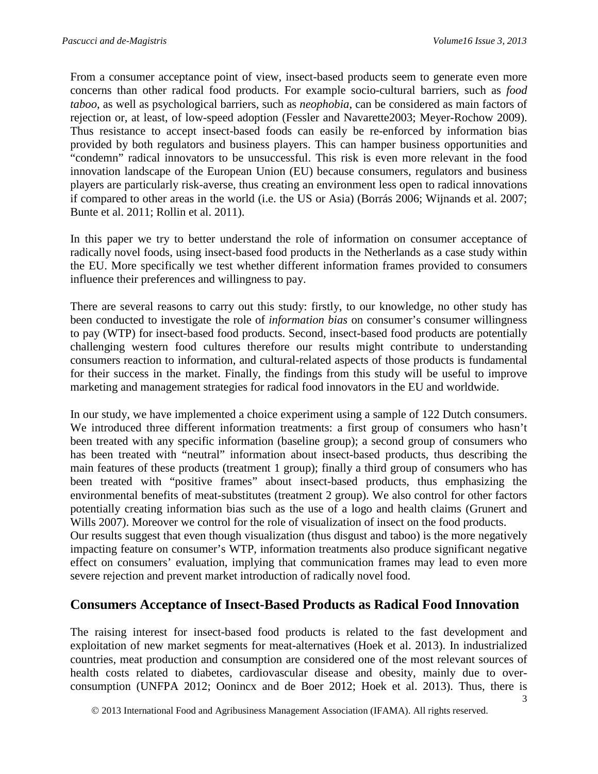From a consumer acceptance point of view, insect-based products seem to generate even more concerns than other radical food products. For example socio-cultural barriers, such as *food taboo*, as well as psychological barriers, such as *neophobia*, can be considered as main factors of rejection or, at least, of low-speed adoption (Fessler and Navarette2003; Meyer-Rochow 2009). Thus resistance to accept insect-based foods can easily be re-enforced by information bias provided by both regulators and business players. This can hamper business opportunities and "condemn" radical innovators to be unsuccessful. This risk is even more relevant in the food innovation landscape of the European Union (EU) because consumers, regulators and business players are particularly risk-averse, thus creating an environment less open to radical innovations if compared to other areas in the world (i.e. the US or Asia) (Borrás 2006; Wijnands et al. 2007; Bunte et al. 2011; Rollin et al. 2011).

In this paper we try to better understand the role of information on consumer acceptance of radically novel foods, using insect-based food products in the Netherlands as a case study within the EU. More specifically we test whether different information frames provided to consumers influence their preferences and willingness to pay.

There are several reasons to carry out this study: firstly, to our knowledge, no other study has been conducted to investigate the role of *information bias* on consumer's consumer willingness to pay (WTP) for insect-based food products. Second, insect-based food products are potentially challenging western food cultures therefore our results might contribute to understanding consumers reaction to information, and cultural-related aspects of those products is fundamental for their success in the market. Finally, the findings from this study will be useful to improve marketing and management strategies for radical food innovators in the EU and worldwide.

In our study, we have implemented a choice experiment using a sample of 122 Dutch consumers. We introduced three different information treatments: a first group of consumers who hasn't been treated with any specific information (baseline group); a second group of consumers who has been treated with "neutral" information about insect-based products, thus describing the main features of these products (treatment 1 group); finally a third group of consumers who has been treated with "positive frames" about insect-based products, thus emphasizing the environmental benefits of meat-substitutes (treatment 2 group). We also control for other factors potentially creating information bias such as the use of a logo and health claims (Grunert and Wills 2007). Moreover we control for the role of visualization of insect on the food products.

Our results suggest that even though visualization (thus disgust and taboo) is the more negatively impacting feature on consumer's WTP, information treatments also produce significant negative effect on consumers' evaluation, implying that communication frames may lead to even more severe rejection and prevent market introduction of radically novel food.

### **Consumers Acceptance of Insect-Based Products as Radical Food Innovation**

The raising interest for insect-based food products is related to the fast development and exploitation of new market segments for meat-alternatives (Hoek et al. 2013). In industrialized countries, meat production and consumption are considered one of the most relevant sources of health costs related to diabetes, cardiovascular disease and obesity, mainly due to overconsumption (UNFPA 2012; Oonincx and de Boer 2012; Hoek et al. 2013). Thus, there is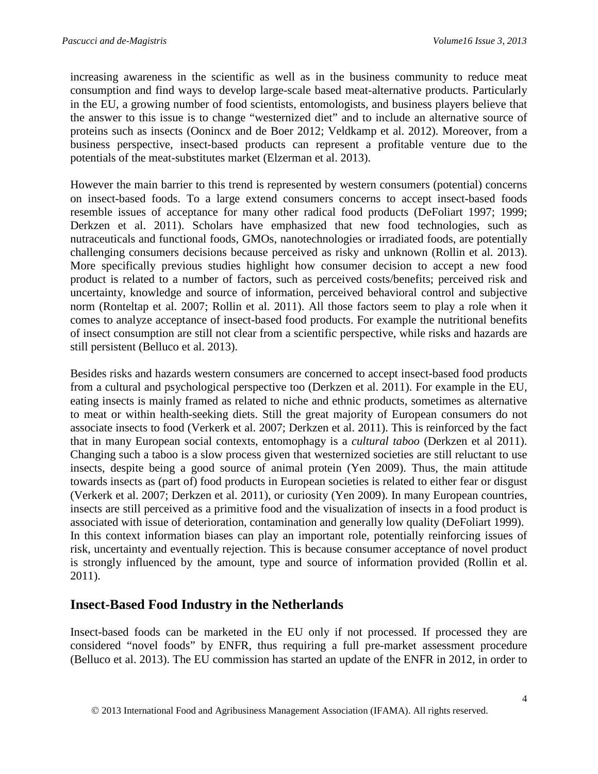increasing awareness in the scientific as well as in the business community to reduce meat consumption and find ways to develop large-scale based meat-alternative products. Particularly in the EU, a growing number of food scientists, entomologists, and business players believe that the answer to this issue is to change "westernized diet" and to include an alternative source of proteins such as insects (Oonincx and de Boer 2012; Veldkamp et al. 2012). Moreover, from a business perspective, insect-based products can represent a profitable venture due to the potentials of the meat-substitutes market (Elzerman et al. 2013).

However the main barrier to this trend is represented by western consumers (potential) concerns on insect-based foods. To a large extend consumers concerns to accept insect-based foods resemble issues of acceptance for many other radical food products (DeFoliart 1997; 1999; Derkzen et al. 2011). Scholars have emphasized that new food technologies, such as nutraceuticals and functional foods, GMOs, nanotechnologies or irradiated foods, are potentially challenging consumers decisions because perceived as risky and unknown (Rollin et al. 2013). More specifically previous studies highlight how consumer decision to accept a new food product is related to a number of factors, such as perceived costs/benefits; perceived risk and uncertainty, knowledge and source of information, perceived behavioral control and subjective norm (Ronteltap et al. 2007; Rollin et al. 2011). All those factors seem to play a role when it comes to analyze acceptance of insect-based food products. For example the nutritional benefits of insect consumption are still not clear from a scientific perspective, while risks and hazards are still persistent (Belluco et al. 2013).

Besides risks and hazards western consumers are concerned to accept insect-based food products from a cultural and psychological perspective too (Derkzen et al. 2011). For example in the EU, eating insects is mainly framed as related to niche and ethnic products, sometimes as alternative to meat or within health-seeking diets. Still the great majority of European consumers do not associate insects to food (Verkerk et al. 2007; Derkzen et al. 2011). This is reinforced by the fact that in many European social contexts, entomophagy is a *cultural taboo* (Derkzen et al 2011). Changing such a taboo is a slow process given that westernized societies are still reluctant to use insects, despite being a good source of animal protein (Yen 2009). Thus, the main attitude towards insects as (part of) food products in European societies is related to either fear or disgust (Verkerk et al. 2007; Derkzen et al. 2011), or curiosity (Yen 2009). In many European countries, insects are still perceived as a primitive food and the visualization of insects in a food product is associated with issue of deterioration, contamination and generally low quality (DeFoliart 1999). In this context information biases can play an important role, potentially reinforcing issues of risk, uncertainty and eventually rejection. This is because consumer acceptance of novel product is strongly influenced by the amount, type and source of information provided (Rollin et al. 2011).

### **Insect-Based Food Industry in the Netherlands**

Insect-based foods can be marketed in the EU only if not processed. If processed they are considered "novel foods" by ENFR, thus requiring a full pre-market assessment procedure (Belluco et al. 2013). The EU commission has started an update of the ENFR in 2012, in order to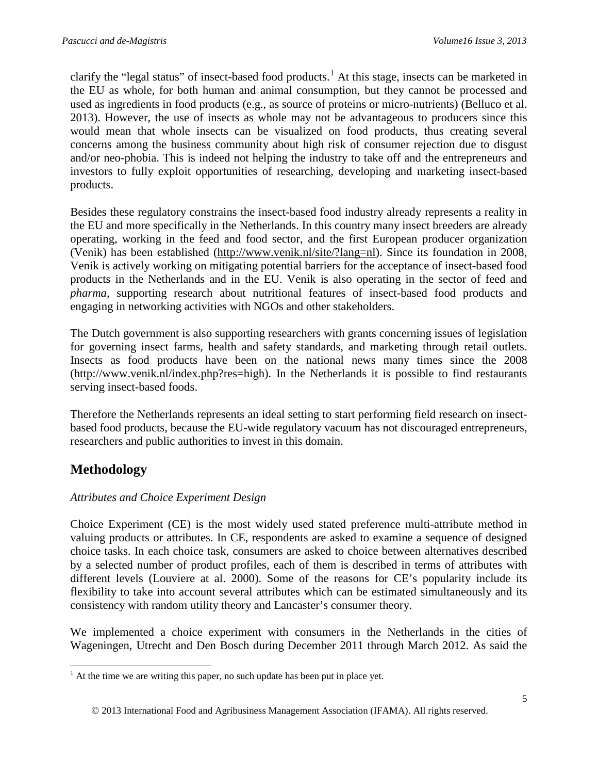clarify the "legal status" of insect-based food products.<sup>[1](#page-4-0)</sup> At this stage, insects can be marketed in the EU as whole, for both human and animal consumption, but they cannot be processed and used as ingredients in food products (e.g., as source of proteins or micro-nutrients) (Belluco et al. 2013). However, the use of insects as whole may not be advantageous to producers since this would mean that whole insects can be visualized on food products, thus creating several concerns among the business community about high risk of consumer rejection due to disgust and/or neo-phobia. This is indeed not helping the industry to take off and the entrepreneurs and investors to fully exploit opportunities of researching, developing and marketing insect-based products.

Besides these regulatory constrains the insect-based food industry already represents a reality in the EU and more specifically in the Netherlands. In this country many insect breeders are already operating, working in the feed and food sector, and the first European producer organization (Venik) has been established [\(http://www.venik.nl/site/?lang=nl\)](http://www.venik.nl/site/?lang=nl). Since its foundation in 2008, Venik is actively working on mitigating potential barriers for the acceptance of insect-based food products in the Netherlands and in the EU. Venik is also operating in the sector of feed and *pharma*, supporting research about nutritional features of insect-based food products and engaging in networking activities with NGOs and other stakeholders.

The Dutch government is also supporting researchers with grants concerning issues of legislation for governing insect farms, health and safety standards, and marketing through retail outlets. Insects as food products have been on the national news many times since the 2008 [\(http://www.venik.nl/index.php?res=high\)](http://www.venik.nl/index.php?res=high). In the Netherlands it is possible to find restaurants serving insect-based foods.

Therefore the Netherlands represents an ideal setting to start performing field research on insectbased food products, because the EU-wide regulatory vacuum has not discouraged entrepreneurs, researchers and public authorities to invest in this domain.

## **Methodology**

#### *Attributes and Choice Experiment Design*

Choice Experiment (CE) is the most widely used stated preference multi-attribute method in valuing products or attributes. In CE, respondents are asked to examine a sequence of designed choice tasks. In each choice task, consumers are asked to choice between alternatives described by a selected number of product profiles, each of them is described in terms of attributes with different levels (Louviere at al. 2000). Some of the reasons for CE's popularity include its flexibility to take into account several attributes which can be estimated simultaneously and its consistency with random utility theory and Lancaster's consumer theory.

We implemented a choice experiment with consumers in the Netherlands in the cities of Wageningen, Utrecht and Den Bosch during December 2011 through March 2012. As said the

<span id="page-4-0"></span> $<sup>1</sup>$  At the time we are writing this paper, no such update has been put in place yet.</sup>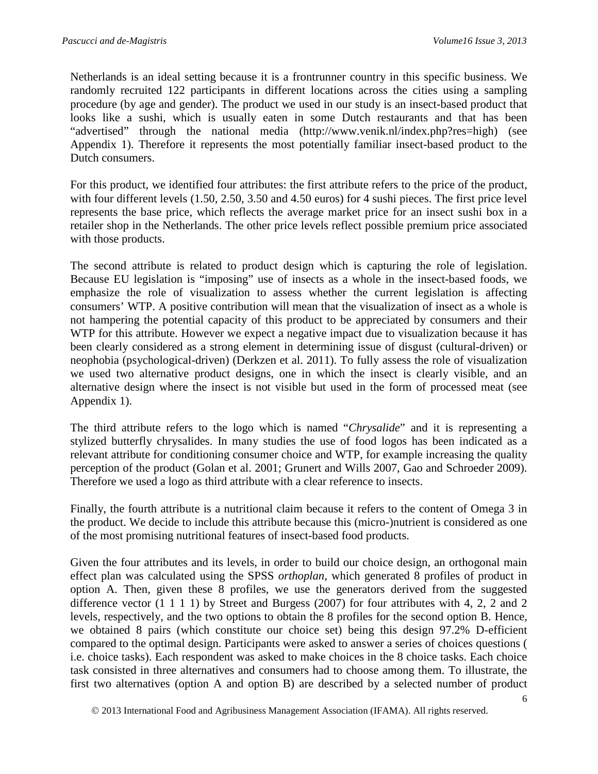Netherlands is an ideal setting because it is a frontrunner country in this specific business. We randomly recruited 122 participants in different locations across the cities using a sampling procedure (by age and gender). The product we used in our study is an insect-based product that looks like a sushi, which is usually eaten in some Dutch restaurants and that has been "advertised" through the national media [\(http://www.venik.nl/index.php?res=high\)](http://www.venik.nl/index.php?res=high) (see Appendix 1). Therefore it represents the most potentially familiar insect-based product to the Dutch consumers.

For this product, we identified four attributes: the first attribute refers to the price of the product, with four different levels (1.50, 2.50, 3.50 and 4.50 euros) for 4 sushi pieces. The first price level represents the base price, which reflects the average market price for an insect sushi box in a retailer shop in the Netherlands. The other price levels reflect possible premium price associated with those products.

The second attribute is related to product design which is capturing the role of legislation. Because EU legislation is "imposing" use of insects as a whole in the insect-based foods, we emphasize the role of visualization to assess whether the current legislation is affecting consumers' WTP. A positive contribution will mean that the visualization of insect as a whole is not hampering the potential capacity of this product to be appreciated by consumers and their WTP for this attribute. However we expect a negative impact due to visualization because it has been clearly considered as a strong element in determining issue of disgust (cultural-driven) or neophobia (psychological-driven) (Derkzen et al. 2011). To fully assess the role of visualization we used two alternative product designs, one in which the insect is clearly visible, and an alternative design where the insect is not visible but used in the form of processed meat (see Appendix 1).

The third attribute refers to the logo which is named "*Chrysalide*" and it is representing a stylized butterfly chrysalides. In many studies the use of food logos has been indicated as a relevant attribute for conditioning consumer choice and WTP, for example increasing the quality perception of the product (Golan et al. 2001; Grunert and Wills 2007, Gao and Schroeder 2009). Therefore we used a logo as third attribute with a clear reference to insects.

Finally, the fourth attribute is a nutritional claim because it refers to the content of Omega 3 in the product. We decide to include this attribute because this (micro-)nutrient is considered as one of the most promising nutritional features of insect-based food products.

Given the four attributes and its levels, in order to build our choice design, an orthogonal main effect plan was calculated using the SPSS *orthoplan*, which generated 8 profiles of product in option A. Then, given these 8 profiles, we use the generators derived from the suggested difference vector (1 1 1 1) by Street and Burgess (2007) for four attributes with 4, 2, 2 and 2 levels, respectively, and the two options to obtain the 8 profiles for the second option B. Hence, we obtained 8 pairs (which constitute our choice set) being this design 97.2% D-efficient compared to the optimal design. Participants were asked to answer a series of choices questions ( i.e. choice tasks). Each respondent was asked to make choices in the 8 choice tasks. Each choice task consisted in three alternatives and consumers had to choose among them. To illustrate, the first two alternatives (option A and option B) are described by a selected number of product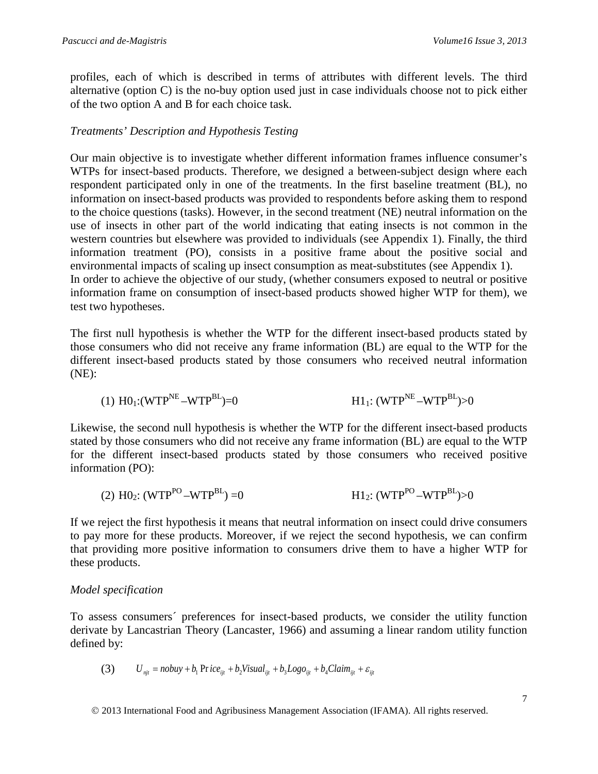profiles, each of which is described in terms of attributes with different levels. The third alternative (option C) is the no-buy option used just in case individuals choose not to pick either of the two option A and B for each choice task.

#### *Treatments' Description and Hypothesis Testing*

Our main objective is to investigate whether different information frames influence consumer's WTPs for insect-based products. Therefore, we designed a between-subject design where each respondent participated only in one of the treatments. In the first baseline treatment (BL), no information on insect-based products was provided to respondents before asking them to respond to the choice questions (tasks). However, in the second treatment (NE) neutral information on the use of insects in other part of the world indicating that eating insects is not common in the western countries but elsewhere was provided to individuals (see Appendix 1). Finally, the third information treatment (PO), consists in a positive frame about the positive social and environmental impacts of scaling up insect consumption as meat-substitutes (see Appendix 1). In order to achieve the objective of our study, (whether consumers exposed to neutral or positive information frame on consumption of insect-based products showed higher WTP for them), we test two hypotheses.

The first null hypothesis is whether the WTP for the different insect-based products stated by those consumers who did not receive any frame information (BL) are equal to the WTP for the different insect-based products stated by those consumers who received neutral information (NE):

(1) 
$$
HO_1:(WTP^{NE}-WTP^{BL})=0
$$
  $H1_1:(WTP^{NE}-WTP^{BL})>0$ 

Likewise, the second null hypothesis is whether the WTP for the different insect-based products stated by those consumers who did not receive any frame information (BL) are equal to the WTP for the different insect-based products stated by those consumers who received positive information (PO):

(2) 
$$
HO_2
$$
:  $(WTP^{PO} - WTP^{BL}) = 0$   $H1_2$ :  $(WTP^{PO} - WTP^{BL}) > 0$ 

If we reject the first hypothesis it means that neutral information on insect could drive consumers to pay more for these products. Moreover, if we reject the second hypothesis, we can confirm that providing more positive information to consumers drive them to have a higher WTP for these products.

#### *Model specification*

To assess consumers´ preferences for insect-based products, we consider the utility function derivate by Lancastrian Theory (Lancaster, 1966) and assuming a linear random utility function defined by:

(3) 
$$
U_{nji} = nobuy + b_1 \operatorname{Pr} ice_{ijt} + b_2 Visual_{ijt} + b_3 Logo_{ijt} + b_4 Claim_{ijt} + \varepsilon_{ijt}
$$

2013 International Food and Agribusiness Management Association (IFAMA). All rights reserved.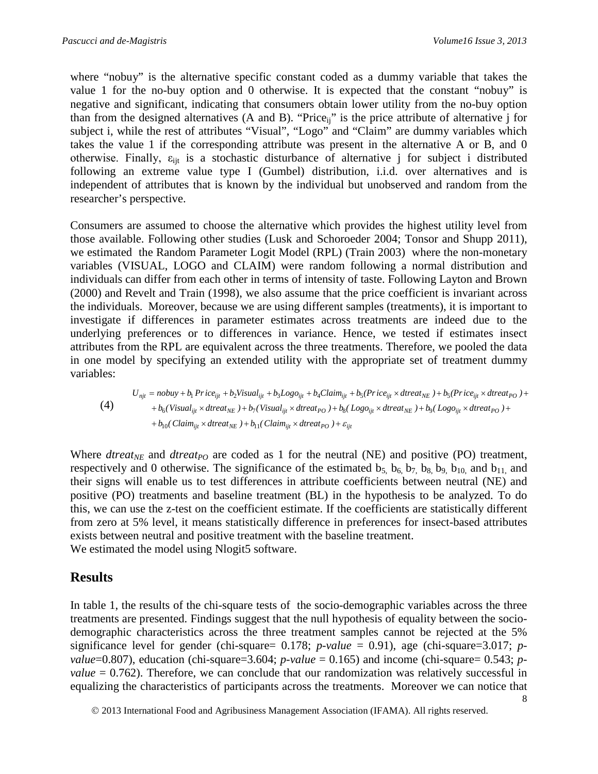where "nobuy" is the alternative specific constant coded as a dummy variable that takes the value 1 for the no-buy option and 0 otherwise. It is expected that the constant "nobuy" is negative and significant, indicating that consumers obtain lower utility from the no-buy option than from the designed alternatives (A and B). "Priceij" is the price attribute of alternative j for subject i, while the rest of attributes "Visual", "Logo" and "Claim" are dummy variables which takes the value 1 if the corresponding attribute was present in the alternative A or B, and 0 otherwise. Finally,  $\varepsilon_{\text{lit}}$  is a stochastic disturbance of alternative j for subject i distributed following an extreme value type I (Gumbel) distribution, i.i.d. over alternatives and is independent of attributes that is known by the individual but unobserved and random from the researcher's perspective.

Consumers are assumed to choose the alternative which provides the highest utility level from those available. Following other studies (Lusk and Schoroeder 2004; Tonsor and Shupp 2011), we estimated the Random Parameter Logit Model (RPL) (Train 2003) where the non-monetary variables (VISUAL, LOGO and CLAIM) were random following a normal distribution and individuals can differ from each other in terms of intensity of taste. Following Layton and Brown (2000) and Revelt and Train (1998), we also assume that the price coefficient is invariant across the individuals. Moreover, because we are using different samples (treatments), it is important to investigate if differences in parameter estimates across treatments are indeed due to the underlying preferences or to differences in variance. Hence, we tested if estimates insect attributes from the RPL are equivalent across the three treatments. Therefore, we pooled the data in one model by specifying an extended utility with the appropriate set of treatment dummy variables:

$$
U_{njt} = nobuy + b_1 Price_{ijt} + b_2 Visual_{ijt} + b_3 Logo_{ijt} + b_4Claim_{ijt} + b_5(Price_{ijt} \times dtreeat_{NE}) + b_5(Price_{ijt} \times dtreeat_{PO}) ++ b_6(Visual_{ijt} \times dtreeat_{NE}) + b_7(Visual_{ijt} \times dtreeat_{PO}) + b_8( Logo_{ijt} \times dtreeat_{NE}) + b_9( Logo_{ijt} \times dtreeat_{PO}) ++ b_{10}(Claim_{ijt} \times dtreeat_{NE}) + b_{11}(Claim_{ijt} \times dtreeat_{PO}) + \varepsilon_{ijt}
$$

Where *dtreat<sub>NE</sub>* and *dtreat<sub>PO</sub>* are coded as 1 for the neutral (NE) and positive (PO) treatment, respectively and 0 otherwise. The significance of the estimated  $b_5$ ,  $b_6$ ,  $b_7$ ,  $b_8$ ,  $b_9$ ,  $b_{10}$ , and  $b_{11}$ , and their signs will enable us to test differences in attribute coefficients between neutral (NE) and positive (PO) treatments and baseline treatment (BL) in the hypothesis to be analyzed. To do this, we can use the z-test on the coefficient estimate. If the coefficients are statistically different from zero at 5% level, it means statistically difference in preferences for insect-based attributes exists between neutral and positive treatment with the baseline treatment. We estimated the model using Nlogit5 software.

### **Results**

In table 1, the results of the chi-square tests of the socio-demographic variables across the three treatments are presented. Findings suggest that the null hypothesis of equality between the sociodemographic characteristics across the three treatment samples cannot be rejected at the 5% significance level for gender (chi-square=  $0.178$ ; *p-value* = 0.91), age (chi-square=3.017; *pvalue*=0.807), education (chi-square=3.604; *p-value* = 0.165) and income (chi-square= 0.543; *pvalue*  $= 0.762$ ). Therefore, we can conclude that our randomization was relatively successful in equalizing the characteristics of participants across the treatments. Moreover we can notice that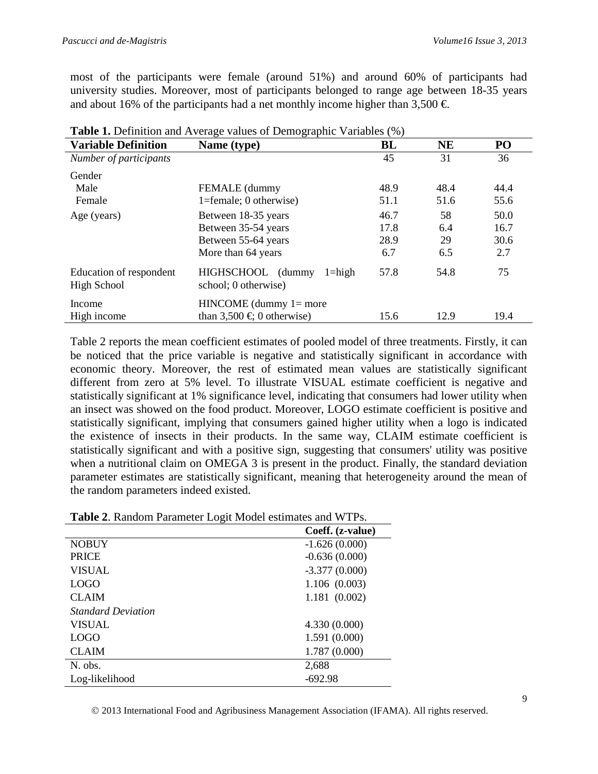most of the participants were female (around 51%) and around 60% of participants had university studies. Moreover, most of participants belonged to range age between 18-35 years and about 16% of the participants had a net monthly income higher than 3,500  $\in$ .

| <b>Table 1.</b> Definition and Average values of Demographic variables (%) |                                                         |      |      |      |
|----------------------------------------------------------------------------|---------------------------------------------------------|------|------|------|
| <b>Variable Definition</b>                                                 | Name (type)                                             | BL   | NE   | PO   |
| Number of participants                                                     |                                                         | 45   | 31   | 36   |
| Gender                                                                     |                                                         |      |      |      |
| Male                                                                       | FEMALE (dummy                                           | 48.9 | 48.4 | 44.4 |
| Female                                                                     | $1 =$ female; 0 otherwise)                              | 51.1 | 51.6 | 55.6 |
| Age (years)                                                                | Between 18-35 years                                     | 46.7 | 58   | 50.0 |
|                                                                            | Between 35-54 years                                     | 17.8 | 6.4  | 16.7 |
|                                                                            | Between 55-64 years                                     | 28.9 | 29   | 30.6 |
|                                                                            | More than 64 years                                      | 6.7  | 6.5  | 2.7  |
| Education of respondent<br><b>High School</b>                              | HIGHSCHOOL (dummy<br>$1 =$ high<br>school; 0 otherwise) | 57.8 | 54.8 | 75   |
| Income                                                                     | $HINCOME$ (dummy $1=$ more                              |      |      |      |
| High income                                                                | than $3,500 \in 0$ otherwise)                           | 15.6 | 12.9 | 19.4 |

|  |  | Table 1. Definition and Average values of Demographic Variables (%) |  |
|--|--|---------------------------------------------------------------------|--|
|  |  |                                                                     |  |

Table 2 reports the mean coefficient estimates of pooled model of three treatments. Firstly, it can be noticed that the price variable is negative and statistically significant in accordance with economic theory. Moreover, the rest of estimated mean values are statistically significant different from zero at 5% level. To illustrate VISUAL estimate coefficient is negative and statistically significant at 1% significance level, indicating that consumers had lower utility when an insect was showed on the food product. Moreover, LOGO estimate coefficient is positive and statistically significant, implying that consumers gained higher utility when a logo is indicated the existence of insects in their products. In the same way, CLAIM estimate coefficient is statistically significant and with a positive sign, suggesting that consumers' utility was positive when a nutritional claim on OMEGA 3 is present in the product. Finally, the standard deviation parameter estimates are statistically significant, meaning that heterogeneity around the mean of the random parameters indeed existed.

| Table 2. Random Parameter Logit Model estimates and WTPs. |  |
|-----------------------------------------------------------|--|
|-----------------------------------------------------------|--|

|                           | Coeff. (z-value) |
|---------------------------|------------------|
| <b>NOBUY</b>              | $-1.626(0.000)$  |
|                           |                  |
| <b>PRICE</b>              | $-0.636(0.000)$  |
| <b>VISUAL</b>             | $-3.377(0.000)$  |
| <b>LOGO</b>               | 1.106(0.003)     |
| <b>CLAIM</b>              | 1.181(0.002)     |
| <b>Standard Deviation</b> |                  |
| <b>VISUAL</b>             | 4.330(0.000)     |
| <b>LOGO</b>               | 1.591(0.000)     |
| <b>CLAIM</b>              | 1.787(0.000)     |
| N. obs.                   | 2,688            |
| Log-likelihood            | $-692.98$        |

2013 International Food and Agribusiness Management Association (IFAMA). All rights reserved.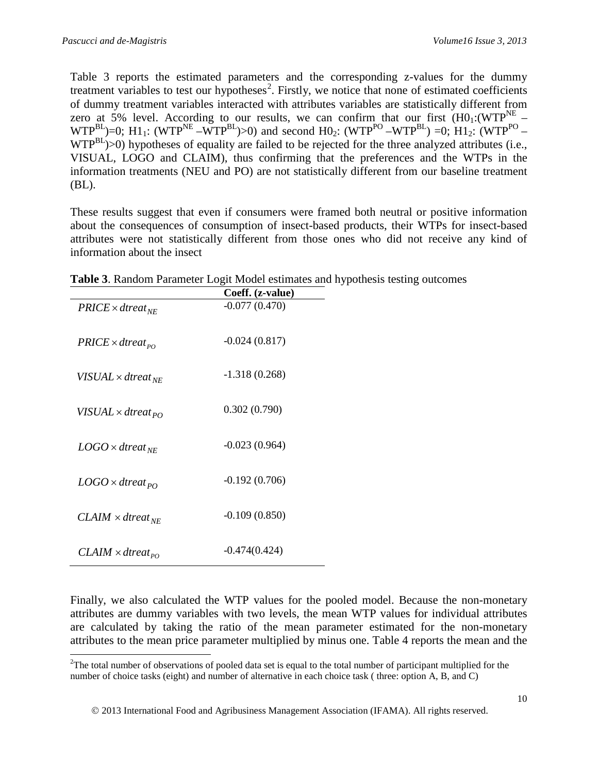Table 3 reports the estimated parameters and the corresponding z-values for the dummy treatment variables to test our hypotheses<sup>[2](#page-9-0)</sup>. Firstly, we notice that none of estimated coefficients of dummy treatment variables interacted with attributes variables are statistically different from zero at 5% level. According to our results, we can confirm that our first  $(H0_1:(WTP<sup>NE</sup> WTP^{BL}$ )=0; H1<sub>1</sub>: (WTP<sup>NE</sup> –WTP<sup>BL</sup>)>0) and second H0<sub>2</sub>: (WTP<sup>PO</sup> –WTP<sup>BL</sup>) =0; H1<sub>2</sub>: (WTP<sup>PO</sup> –  $WTP^{BL}$ )>0) hypotheses of equality are failed to be rejected for the three analyzed attributes (i.e., VISUAL, LOGO and CLAIM), thus confirming that the preferences and the WTPs in the information treatments (NEU and PO) are not statistically different from our baseline treatment (BL).

These results suggest that even if consumers were framed both neutral or positive information about the consequences of consumption of insect-based products, their WTPs for insect-based attributes were not statistically different from those ones who did not receive any kind of information about the insect

|                                     | Coeff. (z-value) |
|-------------------------------------|------------------|
| $PRICE \times dtree_{NE}$           | $-0.077(0.470)$  |
| $PRICE \times dtree$                | $-0.024(0.817)$  |
| VISUAL $\times$ dtreat $_{NE}$      | $-1.318(0.268)$  |
| VISUAL × dtreat <sub>PO</sub>       | 0.302(0.790)     |
| $LOGO \times d$ reat <sub>NE</sub>  | $-0.023(0.964)$  |
| $LOGO \times d$ treat <sub>PO</sub> | $-0.192(0.706)$  |
| $CLAIM \times dtreeat_{NE}$         | $-0.109(0.850)$  |
| $CLAIM \times dtreeat_{PO}$         | $-0.474(0.424)$  |

**Table 3**. Random Parameter Logit Model estimates and hypothesis testing outcomes

Finally, we also calculated the WTP values for the pooled model. Because the non-monetary attributes are dummy variables with two levels, the mean WTP values for individual attributes are calculated by taking the ratio of the mean parameter estimated for the non-monetary attributes to the mean price parameter multiplied by minus one. Table 4 reports the mean and the

<span id="page-9-0"></span><sup>&</sup>lt;sup>2</sup>The total number of observations of pooled data set is equal to the total number of participant multiplied for the number of choice tasks (eight) and number of alternative in each choice task ( three: option A, B, and C)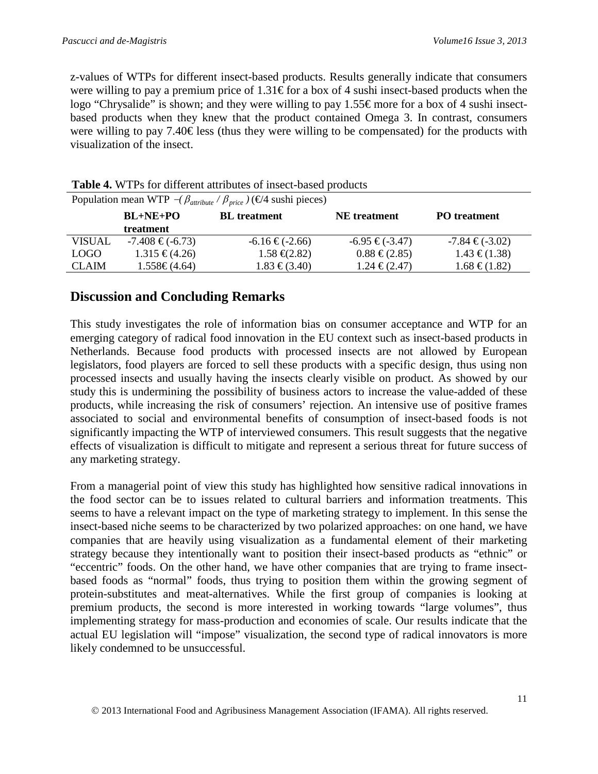z-values of WTPs for different insect-based products. Results generally indicate that consumers were willing to pay a premium price of  $1.31 \text{E}$  for a box of 4 sushi insect-based products when the logo "Chrysalide" is shown; and they were willing to pay 1.55€ more for a box of 4 sushi insectbased products when they knew that the product contained Omega 3. In contrast, consumers were willing to pay 7.40  $\in$  less (thus they were willing to be compensated) for the products with visualization of the insect.

| Population mean WTP $-(\beta_{attribute} / \beta_{price})$ ( $\in$ 4 sushi pieces) |                      |                              |                     |                     |
|------------------------------------------------------------------------------------|----------------------|------------------------------|---------------------|---------------------|
|                                                                                    | $BL+NE+PO$           | <b>BL</b> treatment          | <b>NE</b> treatment | <b>PO</b> treatment |
|                                                                                    | treatment            |                              |                     |                     |
| <b>VISUAL</b>                                                                      | $-7.408 \in (-6.73)$ | $-6.16 \in (-2.66)$          | $-6.95 \in (-3.47)$ | $-7.84 \in (-3.02)$ |
| <b>LOGO</b>                                                                        | $1.315 \in (4.26)$   | $1.58 \text{ } \infty(2.82)$ | $0.88 \in (2.85)$   | $1.43 \in (1.38)$   |
| <b>CLAIM</b>                                                                       | $1.558 \in (4.64)$   | $1.83 \in (3.40)$            | $1.24 \in (2.47)$   | $1.68 \in (1.82)$   |

| Table 4. WTPs for different attributes of insect-based products |
|-----------------------------------------------------------------|
|-----------------------------------------------------------------|

### **Discussion and Concluding Remarks**

This study investigates the role of information bias on consumer acceptance and WTP for an emerging category of radical food innovation in the EU context such as insect-based products in Netherlands. Because food products with processed insects are not allowed by European legislators, food players are forced to sell these products with a specific design, thus using non processed insects and usually having the insects clearly visible on product. As showed by our study this is undermining the possibility of business actors to increase the value-added of these products, while increasing the risk of consumers' rejection. An intensive use of positive frames associated to social and environmental benefits of consumption of insect-based foods is not significantly impacting the WTP of interviewed consumers. This result suggests that the negative effects of visualization is difficult to mitigate and represent a serious threat for future success of any marketing strategy.

From a managerial point of view this study has highlighted how sensitive radical innovations in the food sector can be to issues related to cultural barriers and information treatments. This seems to have a relevant impact on the type of marketing strategy to implement. In this sense the insect-based niche seems to be characterized by two polarized approaches: on one hand, we have companies that are heavily using visualization as a fundamental element of their marketing strategy because they intentionally want to position their insect-based products as "ethnic" or "eccentric" foods. On the other hand, we have other companies that are trying to frame insectbased foods as "normal" foods, thus trying to position them within the growing segment of protein-substitutes and meat-alternatives. While the first group of companies is looking at premium products, the second is more interested in working towards "large volumes", thus implementing strategy for mass-production and economies of scale. Our results indicate that the actual EU legislation will "impose" visualization, the second type of radical innovators is more likely condemned to be unsuccessful.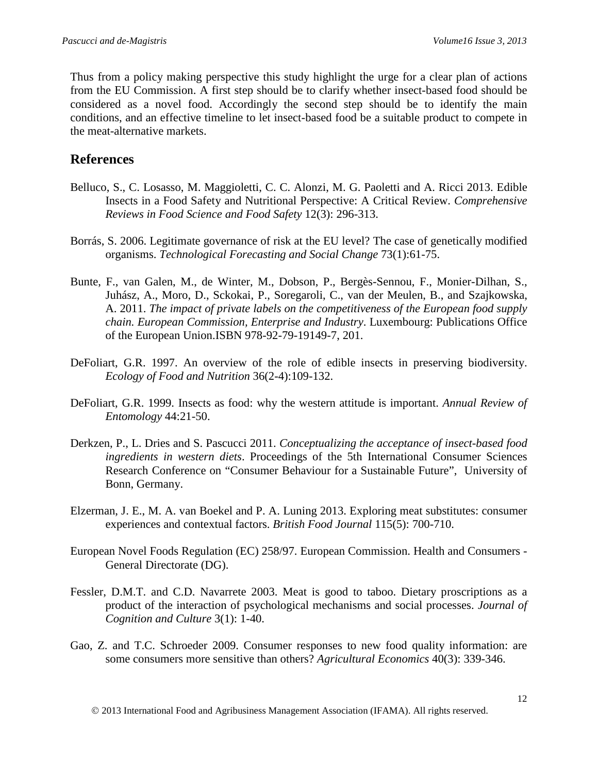Thus from a policy making perspective this study highlight the urge for a clear plan of actions from the EU Commission. A first step should be to clarify whether insect-based food should be considered as a novel food. Accordingly the second step should be to identify the main conditions, and an effective timeline to let insect-based food be a suitable product to compete in the meat-alternative markets.

### **References**

- Belluco, S., C. Losasso, M. Maggioletti, C. C. Alonzi, M. G. Paoletti and A. Ricci 2013. Edible Insects in a Food Safety and Nutritional Perspective: A Critical Review. *Comprehensive Reviews in Food Science and Food Safety* 12(3): 296-313.
- Borrás, S. 2006. Legitimate governance of risk at the EU level? The case of genetically modified organisms. *Technological Forecasting and Social Change* 73(1):61-75.
- Bunte, F., van Galen, M., de Winter, M., Dobson, P., Bergès-Sennou, F., Monier-Dilhan, S., Juhász, A., Moro, D., Sckokai, P., Soregaroli, C., van der Meulen, B., and Szajkowska, A. 2011. *The impact of private labels on the competitiveness of the European food supply chain. European Commission, Enterprise and Industry*. Luxembourg: Publications Office of the European Union.ISBN 978-92-79-19149-7, 201.
- DeFoliart, G.R. 1997. An overview of the role of edible insects in preserving biodiversity. *Ecology of Food and Nutrition* 36(2-4):109-132.
- DeFoliart, G.R. 1999. Insects as food: why the western attitude is important. *Annual Review of Entomology* 44:21-50.
- Derkzen, P., L. Dries and S. Pascucci 2011. *Conceptualizing the acceptance of insect-based food ingredients in western diets*. Proceedings of the 5th International Consumer Sciences Research Conference on "Consumer Behaviour for a Sustainable Future", University of Bonn, Germany.
- Elzerman, J. E., M. A. van Boekel and P. A. Luning 2013. Exploring meat substitutes: consumer experiences and contextual factors. *British Food Journal* 115(5): 700-710.
- European Novel Foods Regulation (EC) 258/97. European Commission. Health and Consumers General Directorate (DG).
- Fessler, D.M.T. and C.D. Navarrete 2003. Meat is good to taboo. Dietary proscriptions as a product of the interaction of psychological mechanisms and social processes. *Journal of Cognition and Culture* 3(1): 1-40.
- Gao, Z. and T.C. Schroeder 2009. Consumer responses to new food quality information: are some consumers more sensitive than others? *Agricultural Economics* 40(3): 339-346.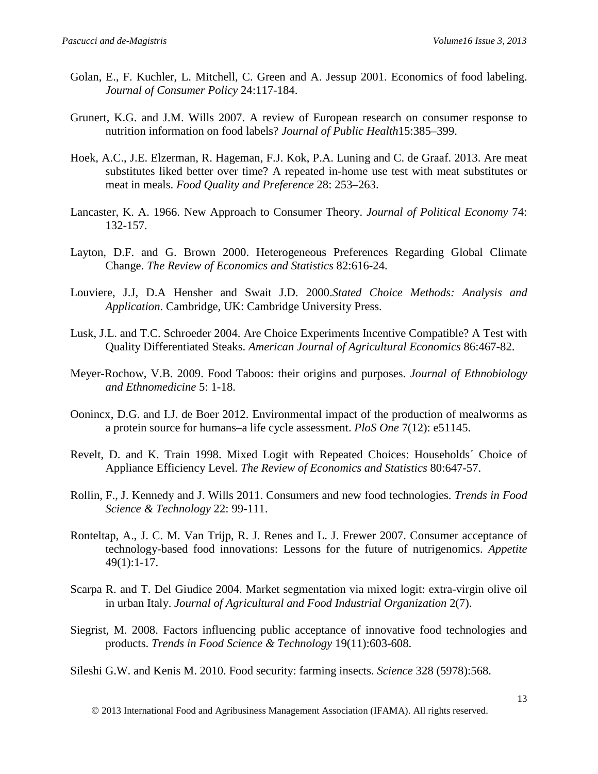- Golan, E., F. Kuchler, L. Mitchell, C. Green and A. Jessup 2001. Economics of food labeling. *Journal of Consumer Policy* 24:117-184.
- Grunert, K.G. and J.M. Wills 2007. A review of European research on consumer response to nutrition information on food labels? *Journal of Public Health*15:385–399.
- Hoek, A.C., J.E. Elzerman, R. Hageman, F.J. Kok, P.A. Luning and C. de Graaf. 2013. Are meat substitutes liked better over time? A repeated in-home use test with meat substitutes or meat in meals. *Food Quality and Preference* 28: 253–263.
- Lancaster, K. A. 1966. New Approach to Consumer Theory. *Journal of Political Economy* 74: 132-157.
- Layton, D.F. and G. Brown 2000. Heterogeneous Preferences Regarding Global Climate Change. *The Review of Economics and Statistics* 82:616-24.
- Louviere, J.J, D.A Hensher and Swait J.D. 2000.*Stated Choice Methods: Analysis and Application*. Cambridge, UK: Cambridge University Press.
- Lusk, J.L. and T.C. Schroeder 2004. Are Choice Experiments Incentive Compatible? A Test with Quality Differentiated Steaks. *American Journal of Agricultural Economics* 86:467-82.
- Meyer-Rochow, V.B. 2009. Food Taboos: their origins and purposes. *Journal of Ethnobiology and Ethnomedicine* 5: 1-18.
- Oonincx, D.G. and I.J. de Boer 2012. Environmental impact of the production of mealworms as a protein source for humans–a life cycle assessment. *PloS One* 7(12): e51145.
- Revelt, D. and K. Train 1998. Mixed Logit with Repeated Choices: Households´ Choice of Appliance Efficiency Level. *The Review of Economics and Statistics* 80:647-57.
- Rollin, F., J. Kennedy and J. Wills 2011. Consumers and new food technologies. *Trends in Food Science & Technology* 22: 99-111.
- Ronteltap, A., J. C. M. Van Trijp, R. J. Renes and L. J. Frewer 2007. Consumer acceptance of technology-based food innovations: Lessons for the future of nutrigenomics. *Appetite* 49(1):1-17.
- Scarpa R. and T. Del Giudice 2004. Market segmentation via mixed logit: extra-virgin olive oil in urban Italy. *Journal of Agricultural and Food Industrial Organization* 2(7).
- Siegrist, M. 2008. Factors influencing public acceptance of innovative food technologies and products. *Trends in Food Science & Technology* 19(11):603-608.

Sileshi G.W. and Kenis M. 2010. Food security: farming insects. *Science* 328 (5978):568.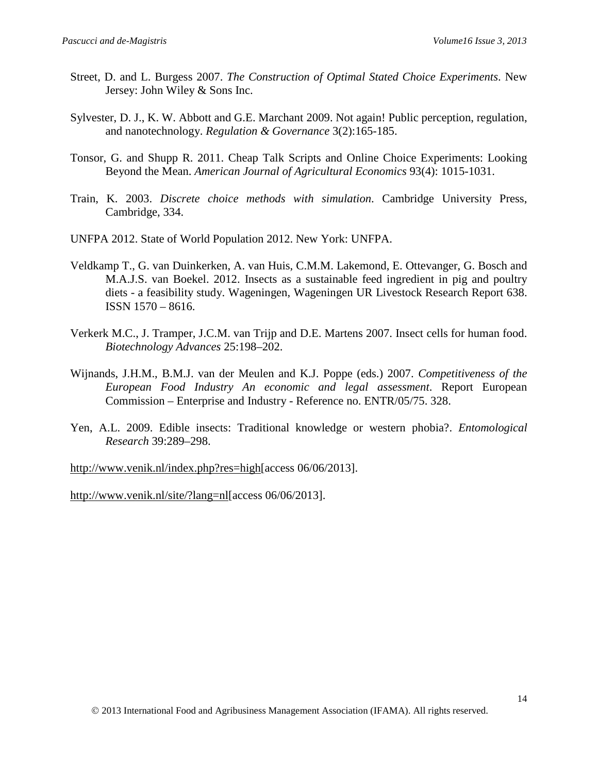- Street, D. and L. Burgess 2007. *The Construction of Optimal Stated Choice Experiments*. New Jersey: John Wiley & Sons Inc.
- Sylvester, D. J., K. W. Abbott and G.E. Marchant 2009. Not again! Public perception, regulation, and nanotechnology. *Regulation & Governance* 3(2):165-185.
- Tonsor, G. and Shupp R. 2011. Cheap Talk Scripts and Online Choice Experiments: Looking Beyond the Mean. *American Journal of Agricultural Economics* 93(4): 1015-1031.
- Train, K. 2003. *Discrete choice methods with simulation*. Cambridge University Press, Cambridge, 334.
- UNFPA 2012. State of World Population 2012. New York: UNFPA.
- Veldkamp T., G. van Duinkerken, A. van Huis, C.M.M. Lakemond, E. Ottevanger, G. Bosch and M.A.J.S. van Boekel. 2012. Insects as a sustainable feed ingredient in pig and poultry diets - a feasibility study. Wageningen, Wageningen UR Livestock Research Report 638. ISSN 1570 – 8616.
- Verkerk M.C., J. Tramper, J.C.M. van Trijp and D.E. Martens 2007. Insect cells for human food. *Biotechnology Advances* 25:198–202.
- Wijnands, J.H.M., B.M.J. van der Meulen and K.J. Poppe (eds.) 2007. *Competitiveness of the European Food Industry An economic and legal assessment*. Report European Commission – Enterprise and Industry - Reference no. ENTR/05/75. 328.
- Yen, A.L. 2009. Edible insects: Traditional knowledge or western phobia?. *Entomological Research* 39:289–298.

[http://www.venik.nl/index.php?res=high\[](http://www.venik.nl/index.php?res=high)access 06/06/2013].

[http://www.venik.nl/site/?lang=nl\[](http://www.venik.nl/site/?lang=nl)access 06/06/2013].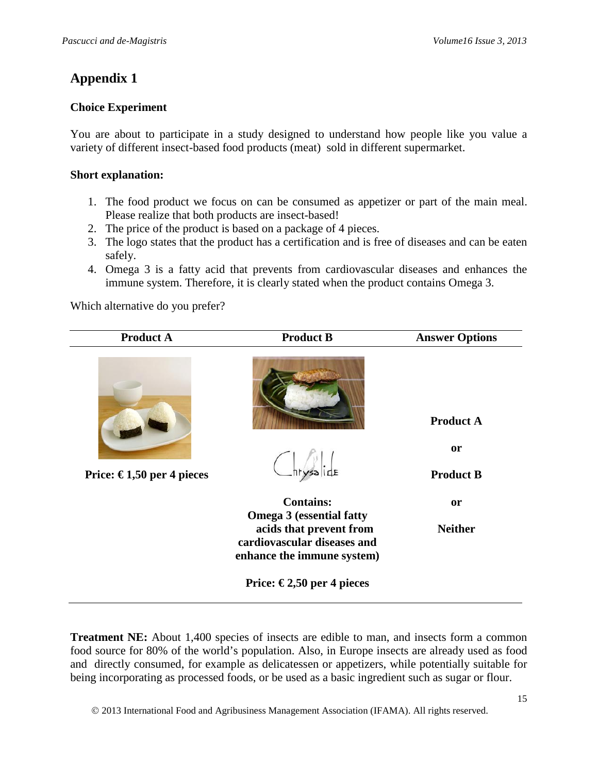# **Appendix 1**

#### **Choice Experiment**

You are about to participate in a study designed to understand how people like you value a variety of different insect-based food products (meat) sold in different supermarket.

#### **Short explanation:**

- 1. The food product we focus on can be consumed as appetizer or part of the main meal. Please realize that both products are insect-based!
- 2. The price of the product is based on a package of 4 pieces.
- 3. The logo states that the product has a certification and is free of diseases and can be eaten safely.
- 4. Omega 3 is a fatty acid that prevents from cardiovascular diseases and enhances the immune system. Therefore, it is clearly stated when the product contains Omega 3.

Which alternative do you prefer?

| <b>Product A</b>          | <b>Product B</b>                                                                                                        | <b>Answer Options</b>                             |
|---------------------------|-------------------------------------------------------------------------------------------------------------------------|---------------------------------------------------|
| Price: €1,50 per 4 pieces | $-$ hrysalide                                                                                                           | <b>Product A</b><br><b>or</b><br><b>Product B</b> |
|                           | <b>Contains:</b>                                                                                                        | <b>or</b>                                         |
|                           | <b>Omega 3 (essential fatty</b><br>acids that prevent from<br>cardiovascular diseases and<br>enhance the immune system) | <b>Neither</b>                                    |
|                           | Price: €2,50 per 4 pieces                                                                                               |                                                   |

**Treatment NE:** About 1,400 species of insects are edible to man, and insects form a common food source for 80% of the world's population. Also, in Europe insects are already used as food and directly consumed, for example as delicatessen or appetizers, while potentially suitable for being incorporating as processed foods, or be used as a basic ingredient such as sugar or flour.